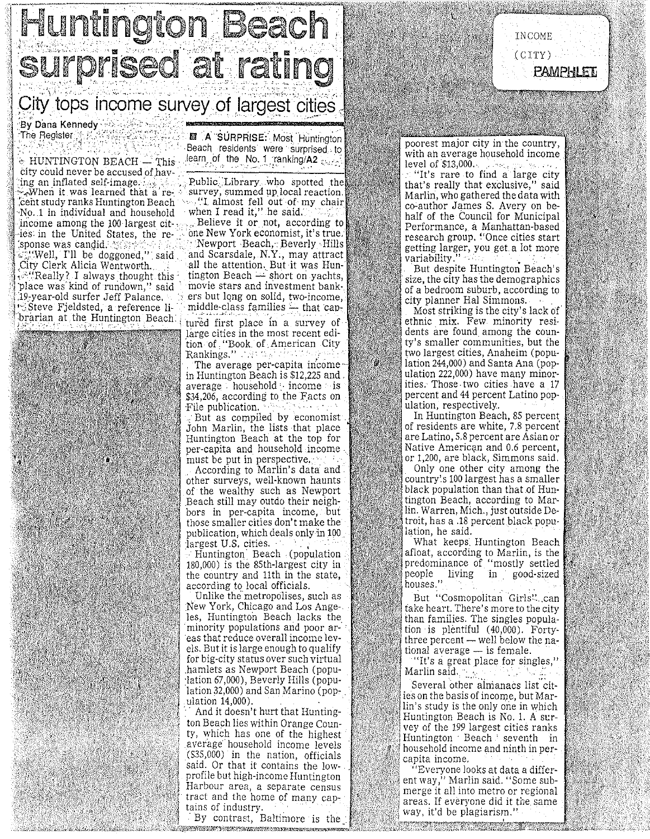

图 A SURPRISE: Most Huntington

 $\div$  HUNTINGTON BEACH  $-$  This  $\cdot$ city could never be accused of having an inflated self-image.  $\mathbb{R}$  $\sim$ Nhen it was learned that a recent study ranks Huntington Beach) No. 1 in individual and household income among the 100 largest citles in the United States, the response was candid. Well, I'll be doggoned," said. City Clerk Alicia Wentworth.  $\mathcal{L}$ "Really? I always thought this place was kind of rundown," said

The Register

19-year-old surfer Jeff Palance. Steve Fjeldsted, a reference librarian at the Huntington Beach. Beach residents were surprised to learn of the No. 1 ranking/A2 and

Public Library who spotted the survey, summed up local reaction. "I almost fell out of my chair when I read it," he said.

Believe it or not, according to one New York economist, it's true. Newport Beach, Beverly Hills and Scarsdale, N.Y., may attract all the attention. But it was Huntington Beach  $-$  short on yachts, movie stars and investment bankers but long on solid, two-income, middle-class families  $-$  that captured first place in a survey of large cities in the most recent edi-

tion of "Book of American City Rankings." Martha C The average per-capita income-

in Huntington Beach is \$12,225 and.  $average \cdot household \cdot income \cdot is$ \$34,206, according to the Facts on File publication.

But as compiled by economist John Marlin, the lists that place Huntington Beach at the top for per-capita and household income must be put in perspective.

According to Marlin's data and other surveys, well-known haunts of the wealthy such as Newport Beach still may outdo their neighbors in per-capita income, but those smaller cities don't make the publication, which deals only in 100 largest U.S. cities.

Huntington Beach (population 180,000) is the 85th-largest city in the country and 11th in the state, according to local officials.

Unlike the metropolises, such as New York, Chicago and Los Angeles, Huntington Beach lacks the minority populations and poor areas that reduce overall income levels. But it is large enough to qualify for big-city status over such virtual hamlets as Newport Beach (population 67,000), Beverly Hills (population 32,000) and San Marino (population 14,000).

And it doesn't hurt that Huntington Beach lies within Orange County, which has one of the highest average household income levels (\$35,000) in the nation, officials said. Or that it contains the lowprofile but high-income Huntington Harbour area, a separate census tract and the home of many captains of industry

By contrast, Baltimore is the FILL FLANDER

poorest major city in the country. with an average household income level of \$13,000.

INCOME

 $(CITY)$ 

PAMPHLET

"It's rare to find a large city that's really that exclusive," said Marlin, who gathered the data with co-author James S. Avery on behalf of the Council for Municipal Performance, a Manhattan-based research group. "Once cities start getting larger, you get a lot more variability.'

But despite Huntington Beach's size, the city has the demographics of a bedroom suburb, according to city planner Hal Simmons.

Most striking is the city's lack of ethnic mix. Few minority residents are found among the county's smaller communities, but the two largest cities, Anaheim (population 244,000) and Santa Ana (population 222,000) have many minorities. Those two cities have a 17 percent and 44 percent Latino population, respectively.

ý,

In Huntington Beach, 85 percent of residents are white, 7.8 percent are Latino, 5.8 percent are Asian or Native American and 0.6 percent, or 1,200, are black, Simmons said. Only one other city among the country's 100 largest has a smaller black population than that of Huntington Beach, according to Marlin. Warren, Mich., just outside Detroit, has a .18 percent black population, he said.

What keeps Huntington Beach afloat, according to Marlin, is the predominance of "mostly settled people living in good-sized houses."

But "Cosmopolitan Girls"...can take heart. There's more to the city than families. The singles population is plentiful (40,000). Fortythree percent — well below the national average - is female.

"It's a great place for singles," Marlin said.

Several other almanacs list cities on the basis of income, but Marlin's study is the only one in which Huntington Beach is No. 1. A survey of the 199 largest cities ranks Huntington Beach seventh in household income and ninth in percapita income.

"Everyone looks at data a different way," Marlin said. "Some submerge it all into metro or regional areas. If everyone did it the same way, it'd be plagiarism."